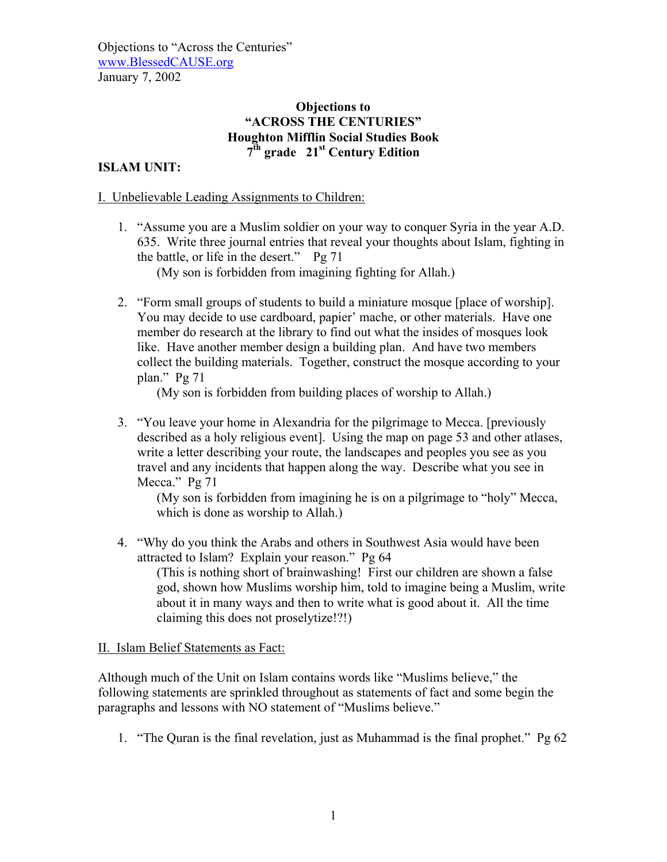# **Objections to "ACROSS THE CENTURIES" Houghton Mifflin Social Studies Book 7th grade 21st Century Edition**

### **ISLAM UNIT:**

#### I. Unbelievable Leading Assignments to Children:

1. "Assume you are a Muslim soldier on your way to conquer Syria in the year A.D. 635. Write three journal entries that reveal your thoughts about Islam, fighting in the battle, or life in the desert." Pg 71

(My son is forbidden from imagining fighting for Allah.)

2. "Form small groups of students to build a miniature mosque [place of worship]. You may decide to use cardboard, papier' mache, or other materials. Have one member do research at the library to find out what the insides of mosques look like. Have another member design a building plan. And have two members collect the building materials. Together, construct the mosque according to your plan." Pg 71

(My son is forbidden from building places of worship to Allah.)

3. "You leave your home in Alexandria for the pilgrimage to Mecca. [previously described as a holy religious event]. Using the map on page 53 and other atlases, write a letter describing your route, the landscapes and peoples you see as you travel and any incidents that happen along the way. Describe what you see in Mecca." Pg 71

(My son is forbidden from imagining he is on a pilgrimage to "holy" Mecca, which is done as worship to Allah.)

4. "Why do you think the Arabs and others in Southwest Asia would have been attracted to Islam? Explain your reason." Pg 64 (This is nothing short of brainwashing! First our children are shown a false god, shown how Muslims worship him, told to imagine being a Muslim, write about it in many ways and then to write what is good about it. All the time claiming this does not proselytize!?!)

II. Islam Belief Statements as Fact:

Although much of the Unit on Islam contains words like "Muslims believe," the following statements are sprinkled throughout as statements of fact and some begin the paragraphs and lessons with NO statement of "Muslims believe."

1. "The Quran is the final revelation, just as Muhammad is the final prophet." Pg 62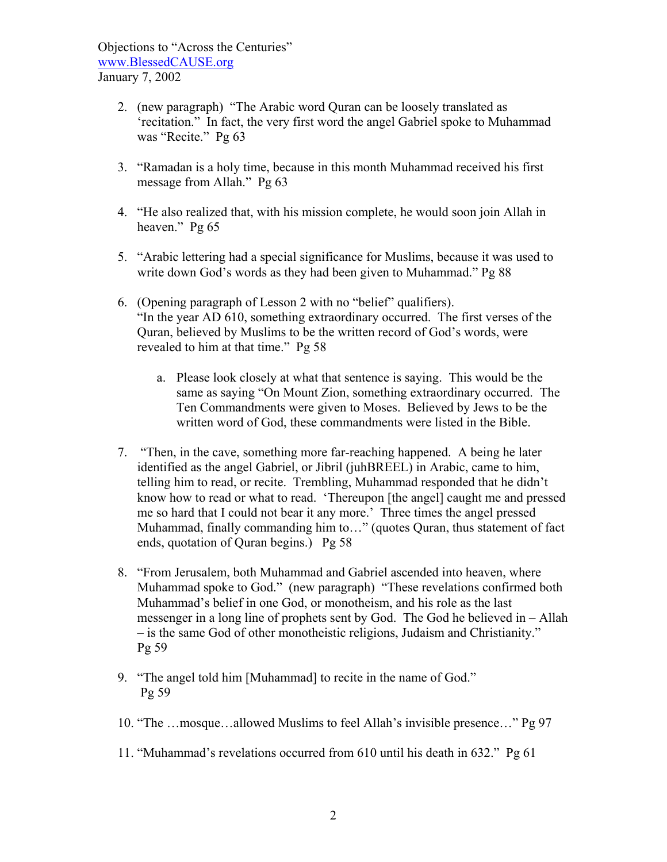- 2. (new paragraph) "The Arabic word Quran can be loosely translated as 'recitation." In fact, the very first word the angel Gabriel spoke to Muhammad was "Recite." Pg 63
- 3. "Ramadan is a holy time, because in this month Muhammad received his first message from Allah." Pg 63
- 4. "He also realized that, with his mission complete, he would soon join Allah in heaven." Pg 65
- 5. "Arabic lettering had a special significance for Muslims, because it was used to write down God's words as they had been given to Muhammad." Pg 88
- 6. (Opening paragraph of Lesson 2 with no "belief" qualifiers). "In the year AD 610, something extraordinary occurred. The first verses of the Quran, believed by Muslims to be the written record of God's words, were revealed to him at that time." Pg 58
	- a. Please look closely at what that sentence is saying. This would be the same as saying "On Mount Zion, something extraordinary occurred. The Ten Commandments were given to Moses. Believed by Jews to be the written word of God, these commandments were listed in the Bible.
- 7. "Then, in the cave, something more far-reaching happened. A being he later identified as the angel Gabriel, or Jibril (juhBREEL) in Arabic, came to him, telling him to read, or recite. Trembling, Muhammad responded that he didn't know how to read or what to read. 'Thereupon [the angel] caught me and pressed me so hard that I could not bear it any more.' Three times the angel pressed Muhammad, finally commanding him to…" (quotes Quran, thus statement of fact ends, quotation of Quran begins.) Pg 58
- 8. "From Jerusalem, both Muhammad and Gabriel ascended into heaven, where Muhammad spoke to God." (new paragraph) "These revelations confirmed both Muhammad's belief in one God, or monotheism, and his role as the last messenger in a long line of prophets sent by God. The God he believed in – Allah – is the same God of other monotheistic religions, Judaism and Christianity." Pg 59
- 9. "The angel told him [Muhammad] to recite in the name of God." Pg 59
- 10. "The …mosque…allowed Muslims to feel Allah's invisible presence…" Pg 97
- 11. "Muhammad's revelations occurred from 610 until his death in 632." Pg 61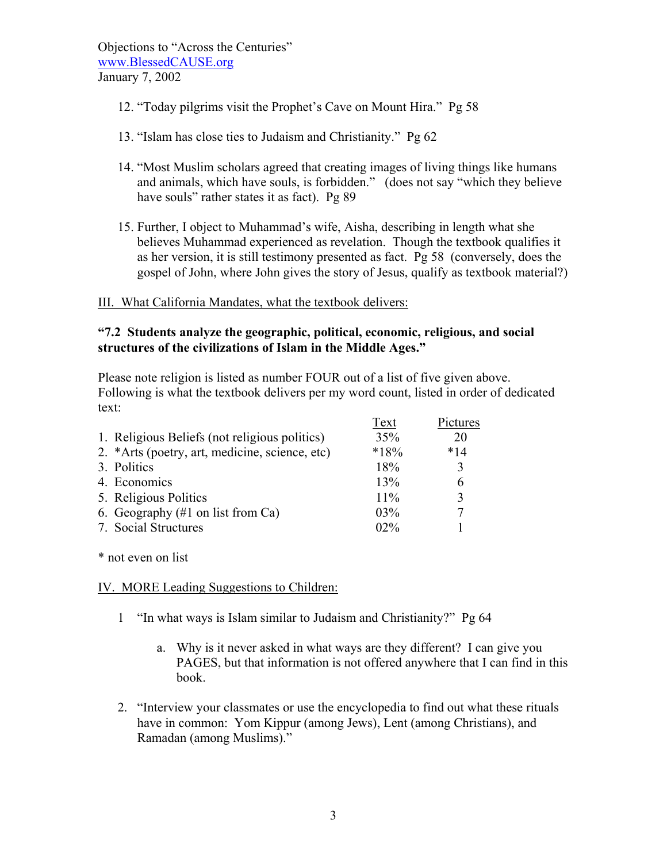- 12. "Today pilgrims visit the Prophet's Cave on Mount Hira." Pg 58
- 13. "Islam has close ties to Judaism and Christianity." Pg 62
- 14. "Most Muslim scholars agreed that creating images of living things like humans and animals, which have souls, is forbidden." (does not say "which they believe have souls" rather states it as fact). Pg 89
- 15. Further, I object to Muhammad's wife, Aisha, describing in length what she believes Muhammad experienced as revelation. Though the textbook qualifies it as her version, it is still testimony presented as fact. Pg 58 (conversely, does the gospel of John, where John gives the story of Jesus, qualify as textbook material?)

### III. What California Mandates, what the textbook delivers:

## **"7.2 Students analyze the geographic, political, economic, religious, and social structures of the civilizations of Islam in the Middle Ages."**

Please note religion is listed as number FOUR out of a list of five given above. Following is what the textbook delivers per my word count, listed in order of dedicated text:

|                                                              | Text   | Pictures |
|--------------------------------------------------------------|--------|----------|
| 1. Religious Beliefs (not religious politics)                | 35%    | 20       |
| 2. *Arts (poetry, art, medicine, science, etc)               | $*18%$ | $*14$    |
| 3. Politics                                                  | 18%    | 3        |
| 4. Economics                                                 | 13%    | 6        |
| 5. Religious Politics                                        | 11%    | 3        |
| 6. Geography $(\#1 \text{ on } \text{list from } \text{Ca})$ | 03%    | 7        |
| 7. Social Structures                                         | 02%    |          |

\* not even on list

IV. MORE Leading Suggestions to Children:

- 1 "In what ways is Islam similar to Judaism and Christianity?" Pg 64
	- a. Why is it never asked in what ways are they different? I can give you PAGES, but that information is not offered anywhere that I can find in this book.
- 2. "Interview your classmates or use the encyclopedia to find out what these rituals have in common: Yom Kippur (among Jews), Lent (among Christians), and Ramadan (among Muslims)."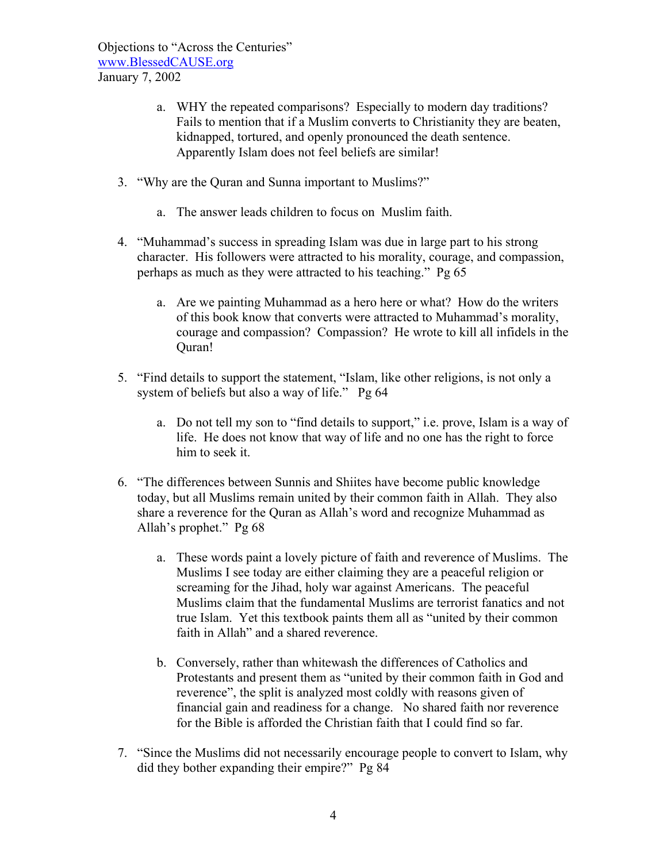- a. WHY the repeated comparisons? Especially to modern day traditions? Fails to mention that if a Muslim converts to Christianity they are beaten, kidnapped, tortured, and openly pronounced the death sentence. Apparently Islam does not feel beliefs are similar!
- 3. "Why are the Quran and Sunna important to Muslims?"
	- a. The answer leads children to focus on Muslim faith.
- 4. "Muhammad's success in spreading Islam was due in large part to his strong character. His followers were attracted to his morality, courage, and compassion, perhaps as much as they were attracted to his teaching." Pg 65
	- a. Are we painting Muhammad as a hero here or what? How do the writers of this book know that converts were attracted to Muhammad's morality, courage and compassion? Compassion? He wrote to kill all infidels in the Quran!
- 5. "Find details to support the statement, "Islam, like other religions, is not only a system of beliefs but also a way of life." Pg 64
	- a. Do not tell my son to "find details to support," i.e. prove, Islam is a way of life. He does not know that way of life and no one has the right to force him to seek it.
- 6. "The differences between Sunnis and Shiites have become public knowledge today, but all Muslims remain united by their common faith in Allah. They also share a reverence for the Quran as Allah's word and recognize Muhammad as Allah's prophet." Pg 68
	- a. These words paint a lovely picture of faith and reverence of Muslims. The Muslims I see today are either claiming they are a peaceful religion or screaming for the Jihad, holy war against Americans. The peaceful Muslims claim that the fundamental Muslims are terrorist fanatics and not true Islam. Yet this textbook paints them all as "united by their common faith in Allah" and a shared reverence.
	- b. Conversely, rather than whitewash the differences of Catholics and Protestants and present them as "united by their common faith in God and reverence", the split is analyzed most coldly with reasons given of financial gain and readiness for a change. No shared faith nor reverence for the Bible is afforded the Christian faith that I could find so far.
- 7. "Since the Muslims did not necessarily encourage people to convert to Islam, why did they bother expanding their empire?" Pg 84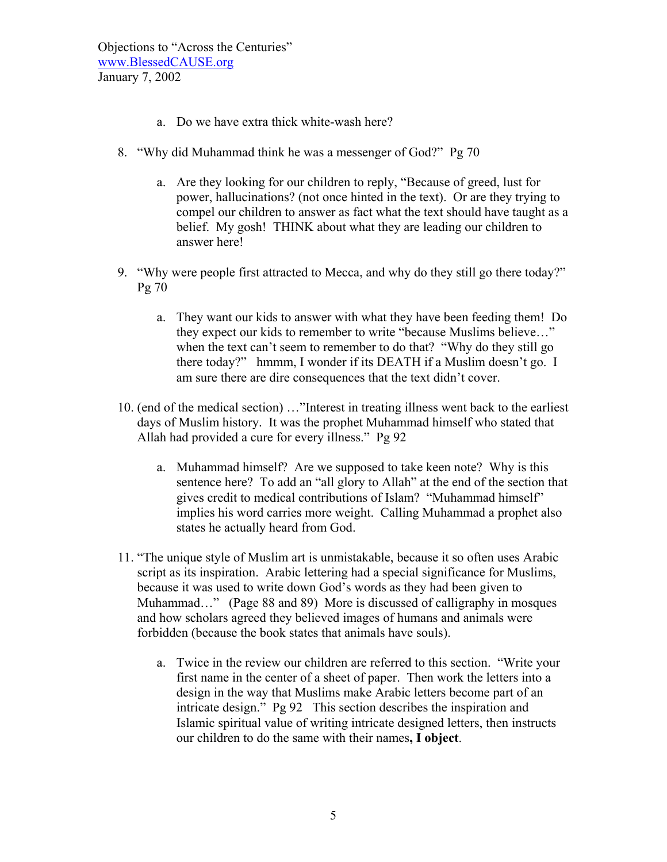- a. Do we have extra thick white-wash here?
- 8. "Why did Muhammad think he was a messenger of God?" Pg 70
	- a. Are they looking for our children to reply, "Because of greed, lust for power, hallucinations? (not once hinted in the text). Or are they trying to compel our children to answer as fact what the text should have taught as a belief. My gosh! THINK about what they are leading our children to answer here!
- 9. "Why were people first attracted to Mecca, and why do they still go there today?" Pg 70
	- a. They want our kids to answer with what they have been feeding them! Do they expect our kids to remember to write "because Muslims believe…" when the text can't seem to remember to do that? "Why do they still go there today?" hmmm, I wonder if its DEATH if a Muslim doesn't go. I am sure there are dire consequences that the text didn't cover.
- 10. (end of the medical section) …"Interest in treating illness went back to the earliest days of Muslim history. It was the prophet Muhammad himself who stated that Allah had provided a cure for every illness." Pg 92
	- a. Muhammad himself? Are we supposed to take keen note? Why is this sentence here? To add an "all glory to Allah" at the end of the section that gives credit to medical contributions of Islam? "Muhammad himself" implies his word carries more weight. Calling Muhammad a prophet also states he actually heard from God.
- 11. "The unique style of Muslim art is unmistakable, because it so often uses Arabic script as its inspiration. Arabic lettering had a special significance for Muslims, because it was used to write down God's words as they had been given to Muhammad…" (Page 88 and 89) More is discussed of calligraphy in mosques and how scholars agreed they believed images of humans and animals were forbidden (because the book states that animals have souls).
	- a. Twice in the review our children are referred to this section. "Write your first name in the center of a sheet of paper. Then work the letters into a design in the way that Muslims make Arabic letters become part of an intricate design." Pg 92 This section describes the inspiration and Islamic spiritual value of writing intricate designed letters, then instructs our children to do the same with their names**, I object**.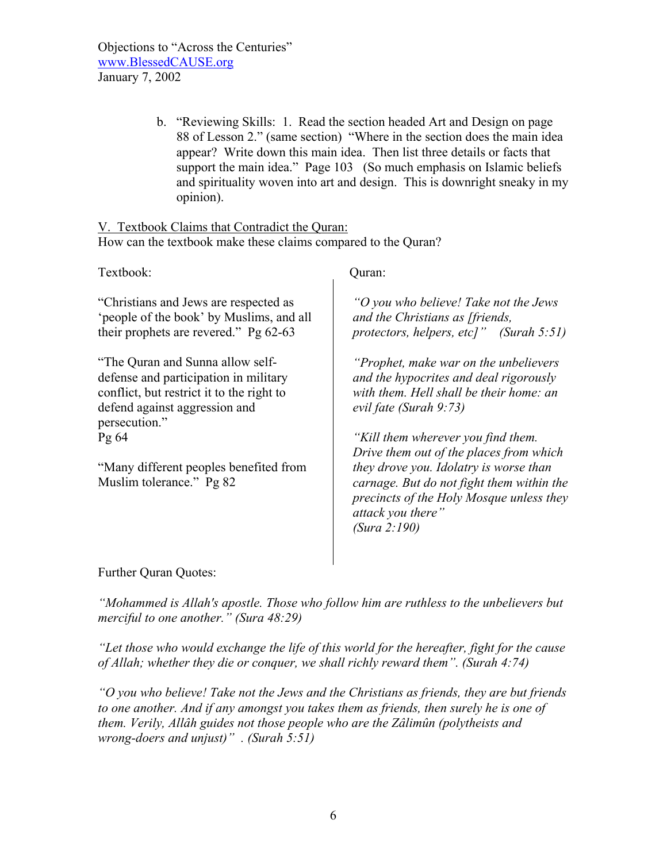> b. "Reviewing Skills: 1. Read the section headed Art and Design on page 88 of Lesson 2." (same section) "Where in the section does the main idea appear? Write down this main idea. Then list three details or facts that support the main idea." Page 103 (So much emphasis on Islamic beliefs and spirituality woven into art and design. This is downright sneaky in my opinion).

V. Textbook Claims that Contradict the Quran: How can the textbook make these claims compared to the Quran?

Textbook: Quran: "Christians and Jews are respected as 'people of the book' by Muslims, and all their prophets are revered." Pg 62-63 "The Quran and Sunna allow selfdefense and participation in military conflict, but restrict it to the right to defend against aggression and persecution." Pg 64 "Many different peoples benefited from Muslim tolerance." Pg 82 *"O you who believe! Take not the Jews and the Christians as [friends, protectors, helpers, etc]" (Surah 5:51) "Prophet, make war on the unbelievers and the hypocrites and deal rigorously with them. Hell shall be their home: an evil fate (Surah 9:73) "Kill them wherever you find them. Drive them out of the places from which they drove you. Idolatry is worse than carnage. But do not fight them within the precincts of the Holy Mosque unless they attack you there" (Sura 2:190)*

Further Quran Quotes:

*"Mohammed is Allah's apostle. Those who follow him are ruthless to the unbelievers but merciful to one another." (Sura 48:29)*

*"Let those who would exchange the life of this world for the hereafter, fight for the cause of Allah; whether they die or conquer, we shall richly reward them". (Surah 4:74)*

*"O you who believe! Take not the Jews and the Christians as friends, they are but friends to one another. And if any amongst you takes them as friends, then surely he is one of them. Verily, Allâh guides not those people who are the Zâlimûn (polytheists and wrong-doers and unjust)" . (Surah 5:51)*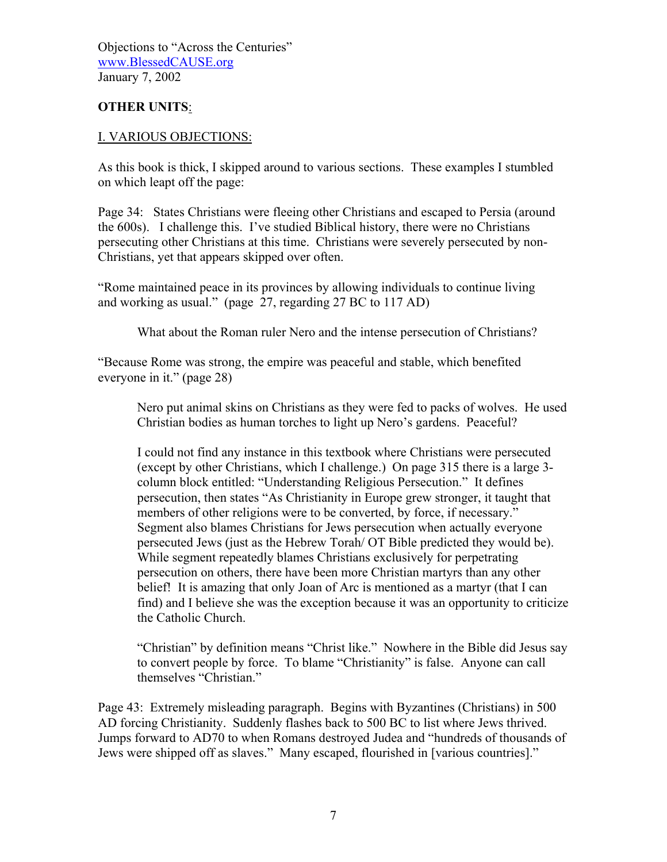# **OTHER UNITS**:

### I. VARIOUS OBJECTIONS:

As this book is thick, I skipped around to various sections. These examples I stumbled on which leapt off the page:

Page 34: States Christians were fleeing other Christians and escaped to Persia (around the 600s). I challenge this. I've studied Biblical history, there were no Christians persecuting other Christians at this time. Christians were severely persecuted by non-Christians, yet that appears skipped over often.

"Rome maintained peace in its provinces by allowing individuals to continue living and working as usual." (page 27, regarding 27 BC to 117 AD)

What about the Roman ruler Nero and the intense persecution of Christians?

"Because Rome was strong, the empire was peaceful and stable, which benefited everyone in it." (page 28)

Nero put animal skins on Christians as they were fed to packs of wolves. He used Christian bodies as human torches to light up Nero's gardens. Peaceful?

I could not find any instance in this textbook where Christians were persecuted (except by other Christians, which I challenge.) On page 315 there is a large 3 column block entitled: "Understanding Religious Persecution." It defines persecution, then states "As Christianity in Europe grew stronger, it taught that members of other religions were to be converted, by force, if necessary." Segment also blames Christians for Jews persecution when actually everyone persecuted Jews (just as the Hebrew Torah/ OT Bible predicted they would be). While segment repeatedly blames Christians exclusively for perpetrating persecution on others, there have been more Christian martyrs than any other belief! It is amazing that only Joan of Arc is mentioned as a martyr (that I can find) and I believe she was the exception because it was an opportunity to criticize the Catholic Church.

"Christian" by definition means "Christ like." Nowhere in the Bible did Jesus say to convert people by force. To blame "Christianity" is false. Anyone can call themselves "Christian."

Page 43: Extremely misleading paragraph. Begins with Byzantines (Christians) in 500 AD forcing Christianity. Suddenly flashes back to 500 BC to list where Jews thrived. Jumps forward to AD70 to when Romans destroyed Judea and "hundreds of thousands of Jews were shipped off as slaves." Many escaped, flourished in [various countries]."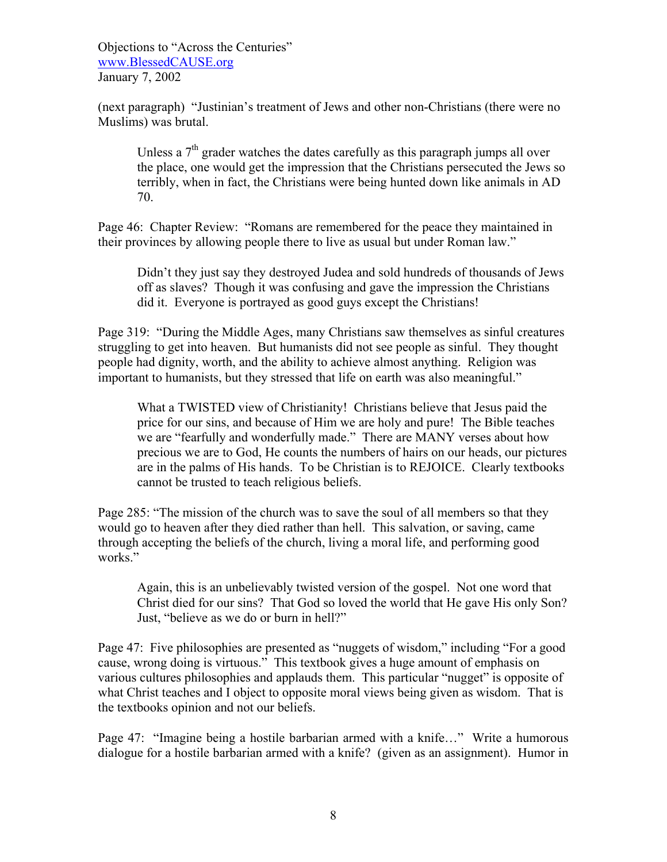(next paragraph) "Justinian's treatment of Jews and other non-Christians (there were no Muslims) was brutal.

Unless a  $7<sup>th</sup>$  grader watches the dates carefully as this paragraph jumps all over the place, one would get the impression that the Christians persecuted the Jews so terribly, when in fact, the Christians were being hunted down like animals in AD 70.

Page 46: Chapter Review: "Romans are remembered for the peace they maintained in their provinces by allowing people there to live as usual but under Roman law."

Didn't they just say they destroyed Judea and sold hundreds of thousands of Jews off as slaves? Though it was confusing and gave the impression the Christians did it. Everyone is portrayed as good guys except the Christians!

Page 319: "During the Middle Ages, many Christians saw themselves as sinful creatures struggling to get into heaven. But humanists did not see people as sinful. They thought people had dignity, worth, and the ability to achieve almost anything. Religion was important to humanists, but they stressed that life on earth was also meaningful."

What a TWISTED view of Christianity! Christians believe that Jesus paid the price for our sins, and because of Him we are holy and pure! The Bible teaches we are "fearfully and wonderfully made." There are MANY verses about how precious we are to God, He counts the numbers of hairs on our heads, our pictures are in the palms of His hands. To be Christian is to REJOICE. Clearly textbooks cannot be trusted to teach religious beliefs.

Page 285: "The mission of the church was to save the soul of all members so that they would go to heaven after they died rather than hell. This salvation, or saving, came through accepting the beliefs of the church, living a moral life, and performing good works."

Again, this is an unbelievably twisted version of the gospel. Not one word that Christ died for our sins? That God so loved the world that He gave His only Son? Just, "believe as we do or burn in hell?"

Page 47: Five philosophies are presented as "nuggets of wisdom," including "For a good cause, wrong doing is virtuous." This textbook gives a huge amount of emphasis on various cultures philosophies and applauds them. This particular "nugget" is opposite of what Christ teaches and I object to opposite moral views being given as wisdom. That is the textbooks opinion and not our beliefs.

Page 47: "Imagine being a hostile barbarian armed with a knife…" Write a humorous dialogue for a hostile barbarian armed with a knife? (given as an assignment). Humor in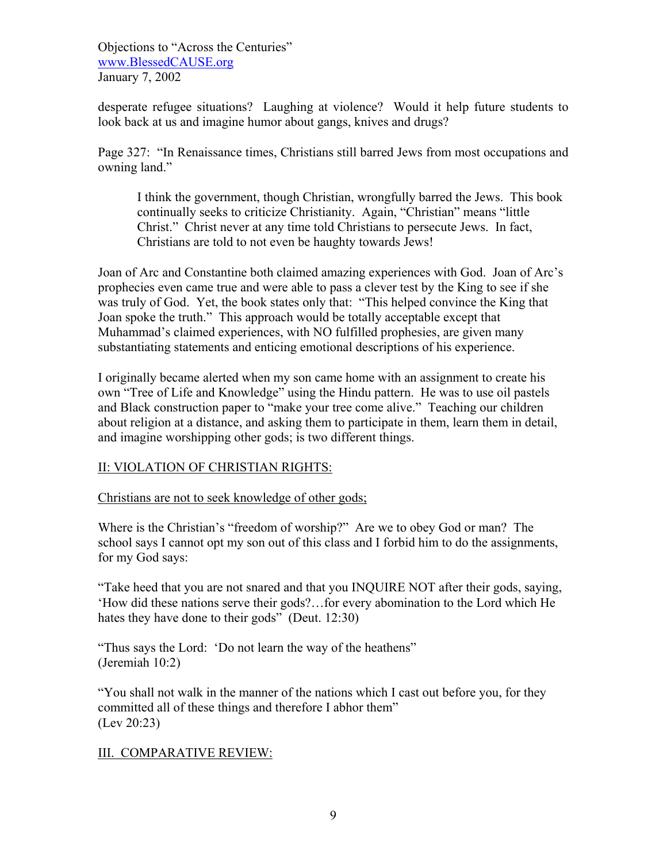desperate refugee situations? Laughing at violence? Would it help future students to look back at us and imagine humor about gangs, knives and drugs?

Page 327: "In Renaissance times, Christians still barred Jews from most occupations and owning land."

I think the government, though Christian, wrongfully barred the Jews. This book continually seeks to criticize Christianity. Again, "Christian" means "little Christ." Christ never at any time told Christians to persecute Jews. In fact, Christians are told to not even be haughty towards Jews!

Joan of Arc and Constantine both claimed amazing experiences with God. Joan of Arc's prophecies even came true and were able to pass a clever test by the King to see if she was truly of God. Yet, the book states only that: "This helped convince the King that Joan spoke the truth." This approach would be totally acceptable except that Muhammad's claimed experiences, with NO fulfilled prophesies, are given many substantiating statements and enticing emotional descriptions of his experience.

I originally became alerted when my son came home with an assignment to create his own "Tree of Life and Knowledge" using the Hindu pattern. He was to use oil pastels and Black construction paper to "make your tree come alive." Teaching our children about religion at a distance, and asking them to participate in them, learn them in detail, and imagine worshipping other gods; is two different things.

# II: VIOLATION OF CHRISTIAN RIGHTS:

Christians are not to seek knowledge of other gods;

Where is the Christian's "freedom of worship?" Are we to obey God or man? The school says I cannot opt my son out of this class and I forbid him to do the assignments, for my God says:

"Take heed that you are not snared and that you INQUIRE NOT after their gods, saying, 'How did these nations serve their gods?…for every abomination to the Lord which He hates they have done to their gods" (Deut. 12:30)

"Thus says the Lord: 'Do not learn the way of the heathens" (Jeremiah 10:2)

"You shall not walk in the manner of the nations which I cast out before you, for they committed all of these things and therefore I abhor them" (Lev 20:23)

# III. COMPARATIVE REVIEW: